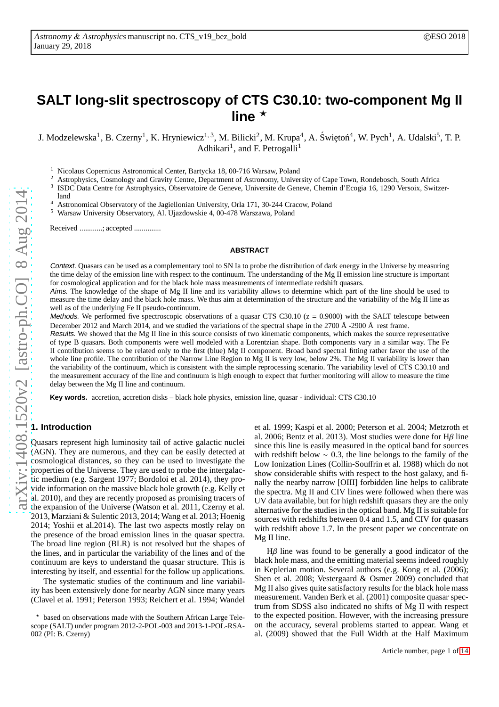# **SALT long-slit spectroscopy of CTS C30.10: two-component Mg II** line  $\star$

J. Modzelewska<sup>1</sup>, B. Czerny<sup>1</sup>, K. Hryniewicz<sup>1, 3</sup>, M. Bilicki<sup>2</sup>, M. Krupa<sup>4</sup>, A. Świętoń<sup>4</sup>, W. Pych<sup>1</sup>, A. Udalski<sup>5</sup>, T. P. Adhikari<sup>1</sup>, and F. Petrogalli<sup>1</sup>

<sup>1</sup> Nicolaus Copernicus Astronomical Center, Bartycka 18, 00-716 Warsaw, Poland<br><sup>2</sup> Astronomy Universe

<sup>2</sup> Astrophysics, Cosmology and Gravity Centre, Department of Astronomy, University of Cape Town, Rondebosch, South Africa

3 ISDC Data Centre for Astrophysics, Observatoire de Geneve, Universite de Geneve, Chemin d'Ecogia 16, 1290 Versoix, Switzer-

land

<sup>4</sup> Astronomical Observatory of the Jagiellonian University, Orla 171, 30-244 Cracow, Poland

<sup>5</sup> Warsaw University Observatory, Al. Ujazdowskie 4, 00-478 Warszawa, Poland

Received ............; accepted ..............

#### **ABSTRACT**

Context. Quasars can be used as a complementary tool to SN Ia to probe the distribution of dark energy in the Universe by measuring the time delay of the emission line with respect to the continuum. The understanding of the Mg II emission line structure is important for cosmological application and for the black hole mass measurements of intermediate redshift quasars.

Aims. The knowledge of the shape of Mg II line and its variability allows to determine which part of the line should be used to measure the time delay and the black hole mass. We thus aim at determination of the structure and the variability of the Mg II line as well as of the underlying Fe II pseudo-continuum.

Methods. We performed five spectroscopic observations of a quasar CTS C30.10 ( $z = 0.9000$ ) with the SALT telescope between December 2012 and March 2014, and we studied the variations of the spectral shape in the 2700 Å -2900 Å rest frame.

Results. We showed that the Mg II line in this source consists of two kinematic components, which makes the source representative of type B quasars. Both components were well modeled with a Lorentzian shape. Both components vary in a similar way. The Fe II contribution seems to be related only to the first (blue) Mg II component. Broad band spectral fitting rather favor the use of the whole line profile. The contribution of the Narrow Line Region to Mg II is very low, below 2%. The Mg II variability is lower than the variability of the continuum, which is consistent with the simple reprocessing scenario. The variability level of CTS C30.10 and the measurement accuracy of the line and continuum is high enough to expect that further monitoring will allow to measure the time delay between the Mg II line and continuum.

**Key words.** accretion, accretion disks – black hole physics, emission line, quasar - individual: CTS C30.10

# **1. Introduction**

Quasars represent high luminosity tail of active galactic nuclei (AGN). They are numerous, and they can be easily detected at cosmological distances, so they can be used to investigate the properties of the Universe. They are used to probe the intergalactic medium (e.g. Sargent 1977; Bordoloi et al. 2014), they provide information on the massive black hole growth (e.g. Kelly et al. 2010), and they are recently proposed as promising tracers of at al. 2010), and they are recently proposed in  $\frac{1}{2011}$ . Czerny et al. 2013, Marziani & Sulentic 2013, 2014; Wang et al. 2013; Hoenig 2014; Yoshii et al.2014). The last two aspects mostly relay on the presence of the broad emission lines in the quasar spectra. The broad line region (BLR) is not resolved but the shapes of the lines, and in particular the variability of the lines and of the continuum are keys to understand the quasar structure. This is interesting by itself, and essential for the follow up applications.

The systematic studies of the continuum and line variability has been extensively done for nearby AGN since many years (Clavel et al. 1991; Peterson 1993; Reichert et al. 1994; Wandel et al. 1999; Kaspi et al. 2000; Peterson et al. 2004; Metzroth et al. 2006; Bentz et al. 2013). Most studies were done for  $H\beta$  line since this line is easily measured in the optical band for sources with redshift below  $\sim$  0.3, the line belongs to the family of the Low Ionization Lines (Collin-Souffrin et al. 1988) which do not show considerable shifts with respect to the host galaxy, and finally the nearby narrow [OIII] forbidden line helps to calibrate the spectra. Mg II and CIV lines were followed when there was UV data available, but for high redshift quasars they are the only alternative for the studies in the optical band. Mg II is suitable for sources with redshifts between 0.4 and 1.5, and CIV for quasars with redshift above 1.7. In the present paper we concentrate on Mg II line.

 $H\beta$  line was found to be generally a good indicator of the black hole mass, and the emitting material seems indeed roughly in Keplerian motion. Several authors (e.g. Kong et al. (2006); Shen et al. 2008; Vestergaard & Osmer 2009) concluded that Mg II also gives quite satisfactory results for the black hole mass measurement. Vanden Berk et al. (2001) composite quasar spectrum from SDSS also indicated no shifts of Mg II with respect to the expected position. However, with the increasing pressure on the accuracy, several problems started to appear. Wang et al. (2009) showed that the Full Width at the Half Maximum

based on observations made with the Southern African Large Telescope (SALT) under program 2012-2-POL-003 and 2013-1-POL-RSA-002 (PI: B. Czerny)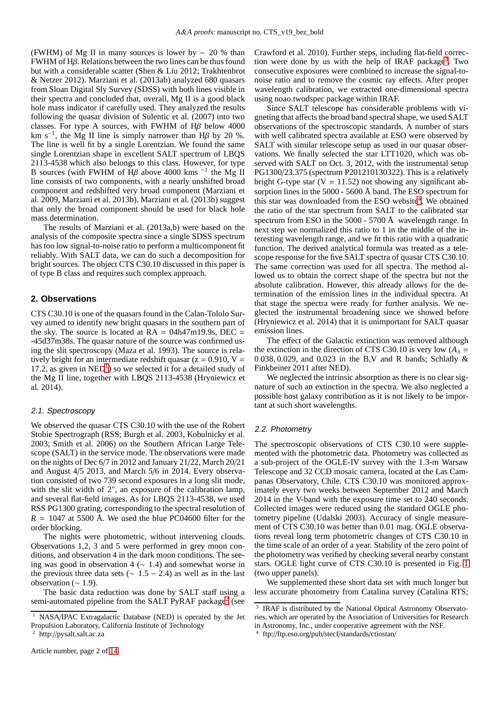(FWHM) of Mg II in many sources is lower by  $\sim$  20 % than FWHM of Hβ. Relations between the two lines can be thus found but with a considerable scatter (Shen & Liu 2012; Trakhtenbrot & Netzer 2012). Marziani et al. (2013ab) analyzed 680 quasars from Sloan Digital Sly Survey (SDSS) with both lines visible in their spectra and concluded that, overall, Mg II is a good black hole mass indicator if carefully used. They analyzed the results following the quasar division of Sulentic et al. (2007) into two classes. For type A sources, with FWHM of  $H\beta$  below 4000 km s<sup>-1</sup>, the Mg II line is simply narrower than H $\beta$  by 20 %. The line is well fit by a single Lorentzian. We found the same single Lorentzian shape in excellent SALT spectrum of LBQS 2113-4538 which also belongs to this class. However, for type B sources (with FWHM of  $H\beta$  above 4000 kms<sup>-1</sup> the Mg<sup>T</sup>II line consists of two components, with a nearly unshifted broad component and redshifted very broad component (Marziani et al. 2009, Marziani et al. 2013b). Marziani et al. (2013b) suggest that only the broad component should be used for black hole mass determination.

The results of Marziani et al. (2013a,b) were based on the analysis of the composite spectra since a single SDSS spectrum has too low signal-to-noise ratio to perform a multicomponent fit reliably. With SALT data, we can do such a decomposition for bright sources. The object CTS C30.10 discussed in this paper is of type B class and requires such complex approach.

# **2. Observations**

CTS C30.10 is one of the quasars found in the Calan-Tololo Survey aimed to identify new bright quasars in the southern part of the sky. The source is located at  $RA = 04h47m19.9s$ , DEC = -45d37m38s. The quasar nature of the source was confirmed using the slit spectroscopy (Maza et al. 1993). The source is relatively bright for an intermediate redshift quasar ( $z = 0.910$ , V = [1](#page-1-0)7.2, as given in  $NED<sup>1</sup>$ ) so we selected it for a detailed study of the Mg II line, together with LBQS 2113-4538 (Hryniewicz et al. 2014).

# 2.1. Spectroscopy

We observed the quasar CTS C30.10 with the use of the Robert Stobie Spectrograph (RSS; Burgh et al. 2003, Kobulnicky et al. 2003; Smith et al. 2006) on the Southern African Large Telescope (SALT) in the service mode. The observations were made on the nights of Dec 6/7 in 2012 and January 21/22, March 20/21 and August 4/5 2013, and March 5/6 in 2014. Every observation consisted of two 739 second exposures in a long slit mode, with the slit width of 2", an exposure of the calibration lamp, and several flat-field images. As for LBQS 2113-4538, we used RSS PG1300 grating, corresponding to the spectral resolution of  $R = 1047$  at 5500 Å. We used the blue PC04600 filter for the order blocking.

The nights were photometric, without intervening clouds. Observations 1,2, 3 and 5 were performed in grey moon conditions, and observation 4 in the dark moon conditions. The seeing was good in observation 4 (∼ 1.4) and somewhat worse in the previous three data sets ( $\sim$  1.5 − 2.4) as well as in the last observation ( $\sim$  1.9).

The basic data reduction was done by SALT staff using a semi-automated pipeline from the SALT PyRAF package<sup>[2](#page-1-1)</sup> (see

Crawford et al. 2010). Further steps, including flat-field correc-tion were done by us with the help of IRAF package<sup>[3](#page-1-2)</sup>. Two consecutive exposures were combined to increase the signal-tonoise ratio and to remove the cosmic ray effects. After proper wavelength calibration, we extracted one-dimensional spectra using noao.twodspec package within IRAF.

Since SALT telescope has considerable problems with vigneting that affects the broad band spectral shape, we used SALT observations of the spectroscopic standards. A number of stars with well calibrated spectra available at ESO were observed by SALT with similar telescope setup as used in our quasar observations. We finally selected the star LTT1020, which was observed with SALT on Oct. 3, 2012, with the instrumental setup PG1300/23.375 (spectrum P201210130322). This is a relatively bright G-type star ( $V = 11.52$ ) not showing any significant absorption lines in the 5000 - 5600 Å band. The ESO spectrum for this star was downloaded from the ESO website<sup>[4](#page-1-3)</sup>. We obtained the ratio of the star spectrum from SALT to the calibrated star spectrum from ESO in the 5000 - 5700 Å wavelength range. In next step we normalized this ratio to 1 in the middle of the interesting wavelength range, and we fit this ratio with a quadratic function. The derived analytical formula was treated as a telescope response for the five SALT spectra of quasar CTS C30.10. The same correction was used for all spectra. The method allowed us to obtain the correct shape of the spectra but not the absolute calibration. However, this already allows for the determination of the emission lines in the individual spectra. At that stage the spectra were ready for further analysis. We neglected the instrumental broadening since we showed before (Hryniewicz et al. 2014) that it is unimportant for SALT quasar emission lines.

The effect of the Galactic extinction was removed although the extinction in the direction of CTS C30.10 is very low  $(A_\lambda =$ 0.038, 0.029, and 0.023 in the B,V and R bands; Schlafly & Finkbeiner 2011 after NED).

We neglected the intrinsic absorption as there is no clear signature of such an extinction in the spectra. We also neglected a possible host galaxy contribution as it is not likely to be important at such short wavelengths.

## 2.2. Photometry

The spectroscopic observations of CTS C30.10 were supplemented with the photometric data. Photometry was collected as a sub-project of the OGLE-IV survey with the 1.3-m Warsaw Telescope and 32 CCD mosaic camera, located at the Las Campanas Observatory, Chile. CTS C30.10 was monitored approximately every two weeks between September 2012 and March 2014 in the V-band with the exposure time set to 240 seconds. Collected images were reduced using the standard OGLE photometry pipeline (Udalski 2003). Accuracy of single measurement of CTS C30.10 was better than 0.01 mag. OGLE observations reveal long term photometric changes of CTS C30.10 in the time scale of an order of a year. Stability of the zero point of the photometry was verified by checking several nearby constant stars. OGLE light curve of CTS C30.10 is presented in Fig. [1](#page-2-0) (two upper panels).

We supplemented these short data set with much longer but less accurate photometry from Catalina survey (Catalina RTS;

<span id="page-1-0"></span><sup>&</sup>lt;sup>1</sup> NASA/IPAC Extragalactic Database (NED) is operated by the Jet Propulsion Laboratory, California Institute of Technology

<span id="page-1-1"></span><sup>2</sup> http://pysalt.salt.ac.za

<span id="page-1-2"></span><sup>3</sup> IRAF is distributed by the National Optical Astronomy Observatories, which are operated by the Association of Universities for Research in Astronomy, Inc., under cooperative agreement with the NSF.

<span id="page-1-3"></span><sup>4</sup> ftp://ftp.eso.org/pub/stecf/standards/ctiostan/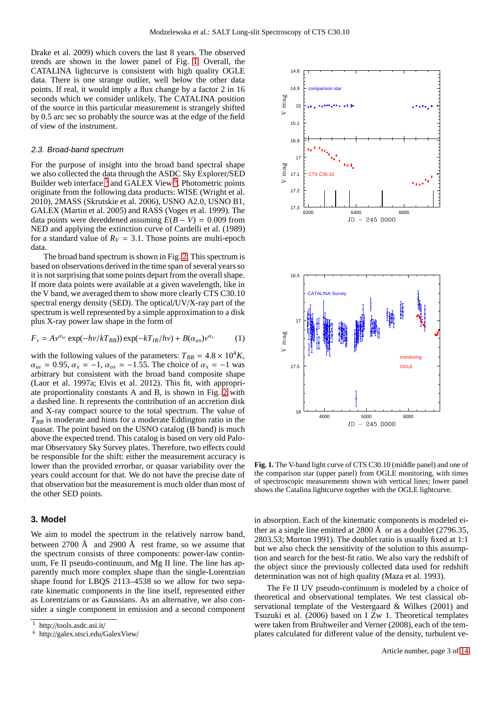Drake et al. 2009) which covers the last 8 years. The observed trends are shown in the lower panel of Fig. [1.](#page-2-0) Overall, the CATALINA lightcurve is consistent with high quality OGLE data. There is one strange outlier, well below the other data points. If real, it would imply a flux change by a factor 2 in 16 seconds which we consider unlikely. The CATALINA position of the source in this particular measurement is strangely shifted by 0.5 arc sec so probably the source was at the edge of the field of view of the instrument.

#### 2.3. Broad-band spectrum

For the purpose of insight into the broad band spectral shape we also collected the data through the ASDC Sky Explorer/SED Builder web interface<sup>[5](#page-2-1)</sup> and GALEX View<sup>[6](#page-2-2)</sup>. Photometric points originate from the following data products: WISE (Wright et al. 2010), 2MASS (Skrutskie et al. 2006), USNO A2.0, USNO B1, GALEX (Martin et al. 2005) and RASS (Voges et al. 1999). The data points were dereddened assuming  $E(B - V) = 0.009$  from NED and applying the extinction curve of Cardelli et al. (1989) for a standard value of  $R_V = 3.1$ . Those points are multi-epoch data.

The broad band spectrum is shown in Fig. [2.](#page-3-0) This spectrum is based on observations derived in the time span of several years so it is not surprising that some points depart from the overallshape. If more data points were available at a given wavelength, like in the V band, we averaged them to show more clearly CTS C30.10 spectral energy density (SED). The optical/UV/X-ray part of the spectrum is well represented by a simple approximation to a disk plus X-ray power law shape in the form of

<span id="page-2-3"></span>
$$
F_{\nu} = A\nu^{\alpha_{uv}} \exp(-h\nu/kT_{BB}) \exp(-kT_{IR}/h\nu) + B(\alpha_{ox})\nu^{\alpha_x}
$$
 (1)

with the following values of the parameters:  $T_{BB} = 4.8 \times 10^4 K$ ,  $\alpha_{uv} = 0.95, \alpha_x = -1, \alpha_{ox} = -1.55$ . The choice of  $\alpha_x = -1$  was arbitrary but consistent with the broad band composite shape (Laor et al. 1997a; Elvis et al. 2012). This fit, with appropriate proportionality constants A and B, is shown in Fig. [2](#page-3-0) with a dashed line. It represents the contribution of an accretion disk and X-ray compact source to the total spectrum. The value of *TBB* is moderate and hints for a moderate Eddington ratio in the quasar. The point based on the USNO catalog (B band) is much above the expected trend. This catalog is based on very old Palomar Observatory Sky Survey plates. Therefore, two effects could be responsible for the shift: either the measurement accuracy is lower than the provided errorbar, or quasar variability over the years could account for that. We do not have the precise date of that observation but the measurement is much older than most of the other SED points.

# **3. Model**

We aim to model the spectrum in the relatively narrow band, between 2700 Å and 2900 Å rest frame, so we assume that the spectrum consists of three components: power-law continuum, Fe II pseudo-continuum, and Mg II line. The line has apparently much more complex shape than the single-Lorentzian shape found for LBQS 2113–4538 so we allow for two separate kinematic components in the line itself, represented either as Lorentzians or as Gaussians. As an alternative, we also consider a single component in emission and a second component



<span id="page-2-0"></span>**Fig. 1.** The V-band light curve of CTS C30.10 (middle panel) and one of the comparison star (upper panel) from OGLE monitoring, with times of spectroscopic measurements shown with vertical lines; lower panel shows the Catalina lightcurve together with the OGLE lightcurve.

in absorption. Each of the kinematic components is modeled either as a single line emitted at 2800  $\AA$  or as a doublet (2796.35, 2803.53; Morton 1991). The doublet ratio is usually fixed at 1:1 but we also check the sensitivity of the solution to this assumption and search for the best-fit ratio. We also vary the redshift of the object since the previously collected data used for redshift determination was not of high quality (Maza et al. 1993).

The Fe II UV pseudo-continuum is modeled by a choice of theoretical and observational templates. We test classical observational template of the Vestergaard & Wilkes (2001) and Tsuzuki et al. (2006) based on I Zw 1. Theoretical templates were taken from Bruhweiler and Verner (2008), each of the templates calculated for different value of the density, turbulent ve-

<sup>5</sup> http://tools.asdc.asi.it/

<span id="page-2-2"></span><span id="page-2-1"></span><sup>6</sup> http://galex.stsci.edu/GalexView/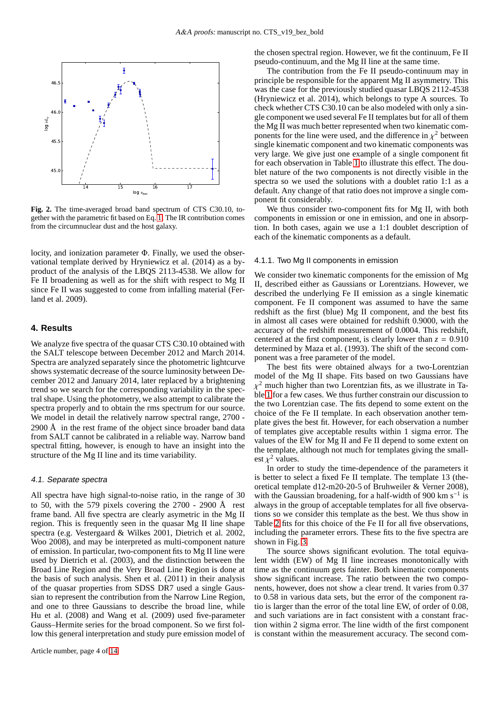

<span id="page-3-0"></span>**Fig. 2.** The time-averaged broad band spectrum of CTS C30.10, together with the parametric fit based on Eq. [1;](#page-2-3) The IR contribution comes from the circumnuclear dust and the host galaxy.

locity, and ionization parameter Φ. Finally, we used the observational template derived by Hryniewicz et al. (2014) as a byproduct of the analysis of the LBQS 2113-4538. We allow for Fe II broadening as well as for the shift with respect to Mg II since Fe II was suggested to come from infalling material (Ferland et al. 2009).

# **4. Results**

We analyze five spectra of the quasar CTS C30.10 obtained with the SALT telescope between December 2012 and March 2014. Spectra are analyzed separately since the photometric lightcurve shows systematic decrease of the source luminosity between December 2012 and January 2014, later replaced by a brightening trend so we search for the corresponding variability in the spectral shape. Using the photometry, we also attempt to calibrate the spectra properly and to obtain the rms spectrum for our source. We model in detail the relatively narrow spectral range,  $2700$  -2900 Å in the rest frame of the object since broader band data from SALT cannot be calibrated in a reliable way. Narrow band spectral fitting, however, is enough to have an insight into the structure of the Mg II line and its time variability.

#### 4.1. Separate spectra

All spectra have high signal-to-noise ratio, in the range of 30 to 50, with the 579 pixels covering the 2700 - 2900 Å rest frame band. All five spectra are clearly asymetric in the Mg II region. This is frequently seen in the quasar Mg II line shape spectra (e.g. Vestergaard & Wilkes 2001, Dietrich et al. 2002, Woo 2008), and may be interpreted as multi-component nature of emission. In particular, two-component fits to Mg II line were used by Dietrich et al. (2003), and the distinction between the Broad Line Region and the Very Broad Line Region is done at the basis of such analysis. Shen et al. (2011) in their analysis of the quasar properties from SDSS DR7 used a single Gaussian to represent the contribution from the Narrow Line Region, and one to three Gaussians to describe the broad line, while Hu et al. (2008) and Wang et al. (2009) used five-parameter Gauss–Hermite series for the broad component. So we first follow this general interpretation and study pure emission model of the chosen spectral region. However, we fit the continuum, Fe II pseudo-continuum, and the Mg II line at the same time.

The contribution from the Fe II pseudo-continuum may in principle be responsible for the apparent Mg II asymmetry. This was the case for the previously studied quasar LBOS 2112-4538 (Hryniewicz et al. 2014), which belongs to type A sources. To check whether CTS C30.10 can be also modeled with only a single component we used several Fe II templates but for all of them the Mg II was much better represented when two kinematic components for the line were used, and the difference in  $\chi^2$  between single kinematic component and two kinematic components was very large. We give just one example of a single component fit for each observation in Table [1](#page-12-0) to illustrate this effect. The doublet nature of the two components is not directly visible in the spectra so we used the solutions with a doublet ratio 1:1 as a default. Any change of that ratio does not improve a single component fit considerably.

We thus consider two-component fits for Mg II, with both components in emission or one in emission, and one in absorption. In both cases, again we use a 1:1 doublet description of each of the kinematic components as a default.

## <span id="page-3-1"></span>4.1.1. Two Mg II components in emission

We consider two kinematic components for the emission of Mg II, described either as Gaussians or Lorentzians. However, we described the underlying Fe II emission as a single kinematic component. Fe II component was assumed to have the same redshift as the first (blue) Mg II component, and the best fits in almost all cases were obtained for redshift 0.9000, with the accuracy of the redshift measurement of 0.0004. This redshift, centered at the first component, is clearly lower than  $z = 0.910$ determined by Maza et al. (1993). The shift of the second component was a free parameter of the model.

The best fits were obtained always for a two-Lorentzian model of the Mg II shape. Fits based on two Gaussians have  $\chi^2$  much higher than two Lorentzian fits, as we illustrate in Table [1](#page-12-0) for a few cases. We thus further constrain our discussion to the two Lorentzian case. The fits depend to some extent on the choice of the Fe II template. In each observation another template gives the best fit. However, for each observation a number of templates give acceptable results within 1 sigma error. The values of the EW for Mg II and Fe II depend to some extent on the template, although not much for templates giving the smallest  $\chi^2$  values.

In order to study the time-dependence of the parameters it is better to select a fixed Fe II template. The template 13 (theoretical template d12-m20-20-5 of Bruhweiler & Verner 2008), with the Gaussian broadening, for a half-width of 900 km s<sup>-1</sup> is always in the group of acceptable templates for all five observations so we consider this template as the best. We thus show in Table [2](#page-4-0) fits for this choice of the Fe II for all five observations, including the parameter errors. These fits to the five spectra are shown in Fig. [3.](#page-10-0)

The source shows significant evolution. The total equivalent width (EW) of Mg II line increases monotonically with time as the continuum gets fainter. Both kinematic components show significant increase. The ratio between the two components, however, does not show a clear trend. It varies from 0.37 to 0.58 in various data sets, but the error of the component ratio is larger than the error of the total line EW, of order of 0.08, and such variations are in fact consistent with a constant fraction within 2 sigma error. The line width of the first component is constant within the measurement accuracy. The second com-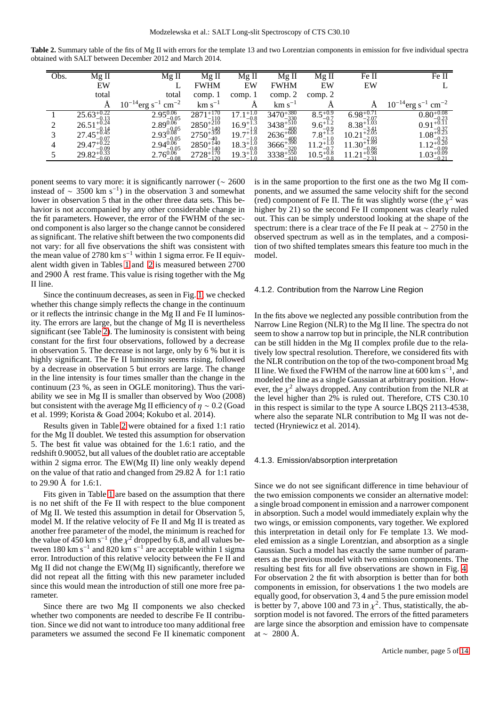**Table 2.** Summary table of the fits of Mg II with errors for the template 13 and two Lorentzian components in emission for five individual spectra obtained with SALT between December 2012 and March 2014.

<span id="page-4-0"></span>

| Obs. | $\overline{\text{Mg}}$ II                                                   | Mg II                                                                                   | $Mg$ II                                                             | Mg II                                                          | Mg II                                                                                                                                                         | Mg II                                                                | Fe II                                            | Fe II                                            |
|------|-----------------------------------------------------------------------------|-----------------------------------------------------------------------------------------|---------------------------------------------------------------------|----------------------------------------------------------------|---------------------------------------------------------------------------------------------------------------------------------------------------------------|----------------------------------------------------------------------|--------------------------------------------------|--------------------------------------------------|
|      | EW                                                                          |                                                                                         | <b>FWHM</b>                                                         | EW                                                             | <b>FWHM</b>                                                                                                                                                   | EW                                                                   | EW                                               |                                                  |
|      | total                                                                       | total                                                                                   | comp. 1                                                             | comp. 1                                                        | comp. 2                                                                                                                                                       | comp. 2                                                              |                                                  |                                                  |
|      |                                                                             | $10^{-14}$ erg s <sup>-1</sup> cm <sup>-2</sup>                                         | $km s^{-1}$                                                         | А                                                              | $km s^{-1}$                                                                                                                                                   |                                                                      |                                                  | $10^{-14}$ erg s <sup>-1</sup> cm <sup>-2</sup>  |
|      | $25.63_{-0.13}^{+0.22}$                                                     |                                                                                         | $2871^{+170}_{-110}$                                                | $\frac{17.1_{-0.8}^{+1.0}}{16.9_{-1.0}^{+1.3}}$                |                                                                                                                                                               | $8.5^{+0.9}_{-0.7}$                                                  | $6.98^{+0.71}_{-2.07}$<br>$8.38^{+1.03}_{-3.41}$ | $0.80^{+0.08}_{-0.23}$<br>0.91 <sup>+0.11</sup>  |
|      | $25.03_{-0.13}^{+0.13}$<br>26.51 <sup>+0.24</sup>                           | $2.95^{0.06}_{-0.05}$ $2.89^{0.06}_{-0.05}$ $2.93^{0.08}_{-0.05}$ $2.94^{0.06}_{-0.05}$ | $2871_{-110}^{+110}$<br>$2850_{-140}^{+210}$<br>$2750_{-40}^{+350}$ |                                                                |                                                                                                                                                               | $\begin{array}{c} 0.5-0.7\\ 9.6+1.2\\ 7.8+1.5\\ 7.8-1.0 \end{array}$ |                                                  |                                                  |
|      | $27.45^{+0.14}_{-0.45}$                                                     |                                                                                         |                                                                     | $19.7^{+1.0}_{-1.8}$                                           |                                                                                                                                                               |                                                                      | $10.21_{-2.03}^{+3.41}$ $11.30_{-0.86}^{+1.89}$  | $1.08^{+0.37}_{-6.2}$                            |
| 4    |                                                                             |                                                                                         | $2750_{-40}^{+140}$<br>$2850_{-140}^{+140}$<br>$2728_{-120}^{+170}$ | $15.7_{-1.0}^{+1.0}$ $18.3_{-0.8}^{+1.0}$ $19.3_{-1.0}^{+1.0}$ |                                                                                                                                                               | $11.2^{+1.0}_{-0.7}_{-0.7}_{10.5^{+0.8}_{-0.8}}$                     |                                                  | $^{1.08}$ -0.23<br>1.12 <sup>+0.20</sup>         |
|      | $29.47_{-0.09}^{+0.22}$<br>29.47 <sup>+0.22</sup><br>29.82 <sup>+0.33</sup> | $2.76^{0.06}_{-0.08}$                                                                   | $-120$                                                              |                                                                | $\substack{\\ 3470^{+380}_{-330} \\ 3438^{+510}_{-400} \\ 2636^{+600}_{-400}_{-400}_{-320} \\ 3666^{+390}_{-320} \\ 3338^{+550}_{-410} \end{array}$<br>$-410$ |                                                                      | $11.21_{-0.98}^{+0.96}$                          | $1.12^{+0.09}_{-0.09}$<br>$1.03^{+0.09}_{-0.21}$ |

ponent seems to vary more: it is significantly narrower (∼ 2600 instead of  $\sim$  3500 km s<sup>-1</sup>) in the observation 3 and somewhat lower in observation 5 that in the other three data sets. This behavior is not accompanied by any other considerable change in the fit parameters. However, the error of the FWHM of the second component is also larger so the change cannot be considered as significant. The relative shift between the two components did not vary: for all five observations the shift was consistent with the mean value of 2780 km s<sup>−</sup><sup>1</sup> within 1 sigma error. Fe II equivalent width given in Tables [1](#page-12-0) and [2](#page-4-0) is measured between 2700 and 2900 Å rest frame. This value is rising together with the Mg II line.

Since the continuum decreases, as seen in Fig. [1,](#page-2-0) we checked whether this change simply reflects the change in the continuum or it reflects the intrinsic change in the Mg II and Fe II luminosity. The errors are large, but the change of Mg II is nevertheless significant (see Table [2\)](#page-4-0). The luminosity is consistent with being constant for the first four observations, followed by a decrease in observation 5. The decrease is not large, only by 6 % but it is highly significant. The Fe II luminosity seems rising, followed by a decrease in observation 5 but errors are large. The change in the line intensity is four times smaller than the change in the continuum (23 %, as seen in OGLE monitoring). Thus the variability we see in Mg II is smaller than observed by Woo (2008) but consistent with the average Mg II efficiency of  $\eta \sim 0.2$  (Goad et al. 1999; Korista & Goad 2004; Kokubo et al. 2014).

Results given in Table [2](#page-4-0) were obtained for a fixed 1:1 ratio for the Mg II doublet. We tested this assumption for observation 5. The best fit value was obtained for the 1.6:1 ratio, and the redshift 0.90052, but all values of the doublet ratio are acceptable within 2 sigma error. The EW(Mg II) line only weakly depend on the value of that ratio and changed from 29.82 Å for 1:1 ratio to 29.90 Å for 1.6:1.

Fits given in Table [1](#page-12-0) are based on the assumption that there is no net shift of the Fe II with respect to the blue component of Mg II. We tested this assumption in detail for Observation 5, model M. If the relative velocity of Fe II and Mg II is treated as another free parameter of the model, the minimum is reached for the value of  $\overline{450}$  km s<sup>-1</sup> (the  $\chi^2$  dropped by 6.8, and all values between 180 km s<sup>-1</sup> and 820 km s<sup>-1</sup> are acceptable within 1 sigma error. Introduction of this relative velocity between the Fe II and Mg II did not change the EW(Mg II) significantly, therefore we did not repeat all the fitting with this new parameter included since this would mean the introduction of still one more free parameter.

Since there are two Mg II components we also checked whether two components are needed to describe Fe II contribution. Since we did not want to introduce too many additional free parameters we assumed the second Fe II kinematic component is in the same proportion to the first one as the two Mg II components, and we assumed the same velocity shift for the second (red) component of Fe II. The fit was slightly worse (the  $\chi^2$  was higher by 21) so the second Fe II component was clearly ruled out. This can be simply understood looking at the shape of the spectrum: there is a clear trace of the Fe II peak at ∼ 2750 in the observed spectrum as well as in the templates, and a composition of two shifted templates smears this feature too much in the model.

## 4.1.2. Contribution from the Narrow Line Region

In the fits above we neglected any possible contribution from the Narrow Line Region (NLR) to the Mg II line. The spectra do not seem to show a narrow top but in principle, the NLR contribution can be still hidden in the Mg II complex profile due to the relatively low spectral resolution. Therefore, we considered fits with the NLR contribution on the top of the two-component broad Mg II line. We fixed the FWHM of the narrow line at  $600 \text{ km s}^{-1}$ , and modeled the line as a single Gaussian at arbitrary position. However, the  $\chi^2$  always dropped. Any contribution from the NLR at the level higher than 2% is ruled out. Therefore, CTS C30.10 in this respect is similar to the type A source LBQS 2113-4538, where also the separate NLR contribution to Mg II was not detected (Hryniewicz et al. 2014).

#### 4.1.3. Emission/absorption interpretation

Since we do not see significant difference in time behaviour of the two emission components we consider an alternative model: a single broad component in emission and a narrower component in absorption. Such a model would immediately explain why the two wings, or emission components, vary together. We explored this interpretation in detail only for Fe template 13. We modeled emission as a single Lorentzian, and absorption as a single Gaussian. Such a model has exactly the same number of parameters as the previous model with two emission components. The resulting best fits for all five observations are shown in Fig. [4.](#page-10-1) For observation 2 the fit with absorption is better than for both components in emission, for observations 1 the two models are equally good, for observation 3, 4 and 5 the pure emission model is better by 7, above 100 and 73 in  $\chi^2$ . Thus, statistically, the absorption model is not favored. The errors of the fitted parameters are large since the absorption and emission have to compensate at ~ 2800 Å.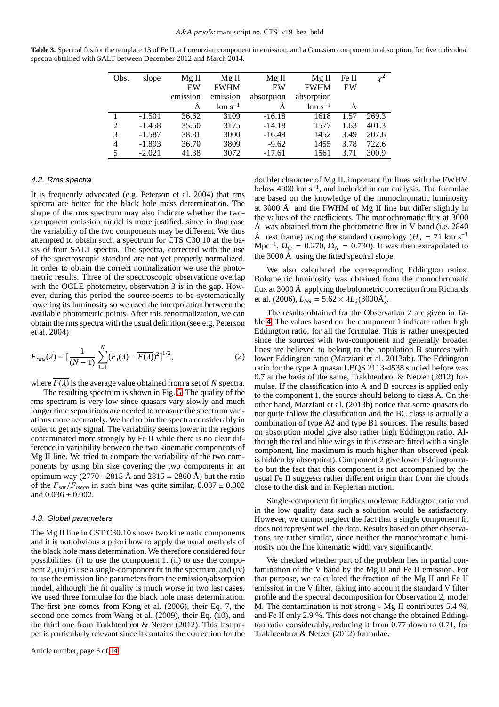<span id="page-5-0"></span>**Table 3.** Spectral fits for the template 13 of Fe II, a Lorentzian component in emission, and a Gaussian component in absorption, for five individual spectra obtained with SALT between December 2012 and March 2014.

| Obs. | slope    | $Mg$ II  | $Mg$ II     | $Mg$ II    | $Mg$ II     | Fe II |       |
|------|----------|----------|-------------|------------|-------------|-------|-------|
|      |          | EW       | <b>FWHM</b> | EW         | <b>FWHM</b> | EW    |       |
|      |          | emission | emission    | absorption | absorption  |       |       |
|      |          |          | $km s^{-1}$ |            | $km s^{-1}$ |       |       |
|      | $-1.501$ | 36.62    | 3109        | $-16.18$   | 1618        | 1.57  | 269.3 |
| 2    | $-1.458$ | 35.60    | 3175        | $-14.18$   | 1577        | 1.63  | 401.3 |
| 3    | $-1.587$ | 38.81    | 3000        | $-16.49$   | 1452        | 3.49  | 207.6 |
| 4    | $-1.893$ | 36.70    | 3809        | $-9.62$    | 1455        | 3.78  | 722.6 |
| 5    | $-2.021$ | 41.38    | 3072        | $-17.61$   | 1561        | 3.71  | 300.9 |

# 4.2. Rms spectra

It is frequently advocated (e.g. Peterson et al. 2004) that rms spectra are better for the black hole mass determination. The shape of the rms spectrum may also indicate whether the twocomponent emission model is more justified, since in that case the variability of the two components may be different. We thus attempted to obtain such a spectrum for CTS C30.10 at the basis of four SALT spectra. The spectra, corrected with the use of the spectroscopic standard are not yet properly normalized. In order to obtain the correct normalization we use the photometric results. Three of the spectroscopic observations overlap with the OGLE photometry, observation 3 is in the gap. However, during this period the source seems to be systematically lowering its luminosity so we used the interpolation between the available photometric points. After this renormalization, we can obtain the rms spectra with the usual definition (see e.g. Peterson et al. 2004)

$$
F_{rms}(\lambda) = \left[\frac{1}{(N-1)}\sum_{i=1}^{N} (F_i(\lambda) - \overline{F(\lambda)})^2\right]^{1/2},
$$
 (2)

where  $\overline{F(\lambda)}$  is the average value obtained from a set of *N* spectra.

The resulting spectrum is shown in Fig. [5.](#page-11-0) The quality of the rms spectrum is very low since quasars vary slowly and much longer time separations are needed to measure the spectrum variations more accurately. We had to bin the spectra considerably in order to get any signal. The variability seems lower in the regions contaminated more strongly by Fe II while there is no clear difference in variability between the two kinematic components of Mg II line. We tried to compare the variability of the two components by using bin size covering the two components in an optimum way (2770 - 2815 Å and 2815 = 2860 Å) but the ratio of the  $F_{var}/F_{mean}$  in such bins was quite similar,  $0.037 \pm 0.002$ and  $0.036 \pm 0.002$ .

## 4.3. Global parameters

The Mg II line in CST C30.10 shows two kinematic components and it is not obvious a priori how to apply the usual methods of the black hole mass determination. We therefore considered four possibilities: (i) to use the component 1, (ii) to use the component 2, (iii) to use a single-component fit to the spectrum, and (iv) to use the emission line parameters from the emission/absorption model, although the fit quality is much worse in two last cases. We used three formulae for the black hole mass determination. The first one comes from Kong et al. (2006), their Eq. 7, the second one comes from Wang et al. (2009), their Eq. (10), and the third one from Trakhtenbrot & Netzer (2012). This last paper is particularly relevant since it contains the correction for the doublet character of Mg II, important for lines with the FWHM below 4000 km s<sup>−</sup><sup>1</sup> , and included in our analysis. The formulae are based on the knowledge of the monochromatic luminosity at 3000 Å and the FWHM of Mg II line but differ slightly in the values of the coefficients. The monochromatic flux at 3000 Å was obtained from the photometric flux in V band (i.e.  $2840$ Å rest frame) using the standard cosmology ( $H<sub>o</sub> = 71$  km s<sup>-1</sup> Mpc<sup>-1</sup>,  $\Omega_m = 0.270$ ,  $\Omega_{\Lambda} = 0.730$ ). It was then extrapolated to the 3000 Å using the fitted spectral slope.

We also calculated the corresponding Eddington ratios. Bolometric luminosity was obtained from the monochromatic flux at 3000 Å applying the bolometric correction from Richards et al. (2006),  $L_{bol} = 5.62 \times \lambda L_{\lambda}(3000\text{\AA}).$ 

The results obtained for the Observation 2 are given in Table [4.](#page-6-0) The values based on the component 1 indicate rather high Eddington ratio, for all the formulae. This is rather unexpected since the sources with two-component and generally broader lines are believed to belong to the population B sources with lower Eddington ratio (Marziani et al. 2013ab). The Eddington ratio for the type A quasar LBQS 2113-4538 studied before was 0.7 at the basis of the same, Trakhtenbrot & Netzer (2012) formulae. If the classification into A and B sources is applied only to the component 1, the source should belong to class A. On the other hand, Marziani et al. (2013b) notice that some quasars do not quite follow the classification and the BC class is actually a combination of type A2 and type B1 sources. The results based on absorption model give also rather high Eddington ratio. Although the red and blue wings in this case are fitted with a single component, line maximum is much higher than observed (peak is hidden by absorption). Component 2 give lower Eddington ratio but the fact that this component is not accompanied by the usual Fe II suggests rather different origin than from the clouds close to the disk and in Keplerian motion.

Single-component fit implies moderate Eddington ratio and in the low quality data such a solution would be satisfactory. However, we cannot neglect the fact that a single component fit does not represent well the data. Results based on other observations are rather similar, since neither the monochromatic luminosity nor the line kinematic width vary significantly.

We checked whether part of the problem lies in partial contamination of the V band by the Mg II and Fe II emission. For that purpose, we calculated the fraction of the Mg II and Fe II emission in the V filter, taking into account the standard V filter profile and the spectral decomposition for Observation 2, model M. The contamination is not strong - Mg II contributes 5.4 %, and Fe II only 2.9 %. This does not change the obtained Eddington ratio considerably, reducing it from 0.77 down to 0.71, for Trakhtenbrot & Netzer (2012) formulae.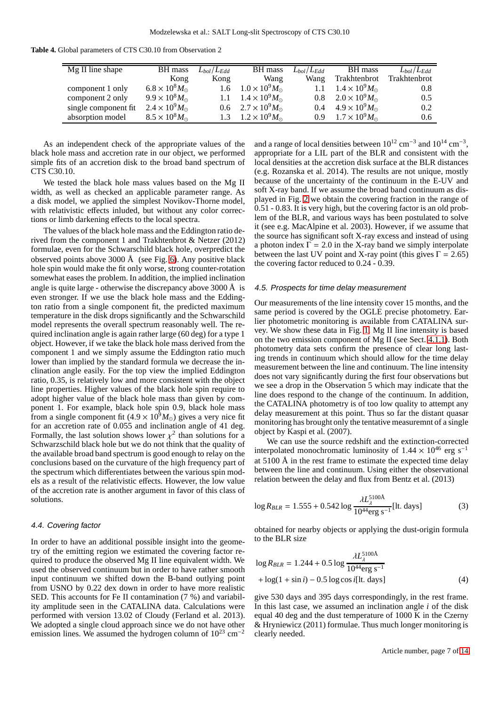| <b>Table 4.</b> Global parameters of CTS C30.10 from Observation 2 |  |  |
|--------------------------------------------------------------------|--|--|
|--------------------------------------------------------------------|--|--|

<span id="page-6-0"></span>

| Mg II line shape     | BH mass                       | $L_{bol}/L_{Edd}$ | BH mass                         | $L_{bol}/L_{Edd}$ | BH mass                         | $L_{bol}/L_{Edd}$ |
|----------------------|-------------------------------|-------------------|---------------------------------|-------------------|---------------------------------|-------------------|
|                      | Kong                          | Kong              | Wang                            | Wang              | Trakhtenbrot                    | Trakhtenbrot      |
| component 1 only     | $6.8 \times 10^8 M_{\odot}$   | $1.6^{\circ}$     | $1.0 \times 10^9 M_{\odot}$     | 1.1               | $1.4 \times 10^{9} M_{\odot}$   | 0.8               |
| component 2 only     | $9.9 \times 10^8 M_{\odot}$   |                   | 1.1 $1.4 \times 10^9 M_{\odot}$ |                   | 0.8 $2.0 \times 10^9 M_{\odot}$ | 0.5               |
| single component fit | $2.4 \times 10^{9} M_{\odot}$ |                   | 0.6 $2.7 \times 10^9 M_{\odot}$ |                   | 0.4 $4.9 \times 10^9 M_{\odot}$ | 0.2               |
| absorption model     | $8.5 \times 10^8 M_{\odot}$   |                   | 1.3 $1.2 \times 10^9 M_{\odot}$ |                   | 0.9 $1.7 \times 10^9 M_{\odot}$ | 0.6               |

As an independent check of the appropriate values of the black hole mass and accretion rate in our object, we performed simple fits of an accretion disk to the broad band spectrum of CTS C30.10.

We tested the black hole mass values based on the Mg II width, as well as checked an applicable parameter range. As a disk model, we applied the simplest Novikov-Thorne model, with relativistic effects inluded, but without any color corrections or limb darkening effects to the local spectra.

The values of the black hole mass and the Eddington ratio derived from the component 1 and Trakhtenbrot & Netzer (2012) formulae, even for the Schwarschild black hole, overpredict the observed points above 3000 Å (see Fig. [6\)](#page-11-1). Any positive black hole spin would make the fit only worse, strong counter-rotation somewhat eases the problem. In addition, the implied inclination angle is quite large - otherwise the discrepancy above 3000 Å is even stronger. If we use the black hole mass and the Eddington ratio from a single component fit, the predicted maximum temperature in the disk drops significantly and the Schwarschild model represents the overall spectrum reasonably well. The required inclination angle is again rather large (60 deg) for a type 1 object. However, if we take the black hole mass derived from the component 1 and we simply assume the Eddington ratio much lower than implied by the standard formula we decrease the inclination angle easily. For the top view the implied Eddington ratio, 0.35, is relatively low and more consistent with the object line properties. Higher values of the black hole spin require to adopt higher value of the black hole mass than given by component 1. For example, black hole spin 0.9, black hole mass from a single component fit (4.9  $\times$  10<sup>9</sup> $M_{\odot}$ ) gives a very nice fit for an accretion rate of 0.055 and inclination angle of 41 deg. Formally, the last solution shows lower  $\chi^2$  than solutions for a Schwarzschild black hole but we do not think that the quality of the available broad band spectrum is good enough to relay on the conclusions based on the curvature of the high frequency part of the spectrum which differentiates between the various spin models as a result of the relativistic effects. However, the low value of the accretion rate is another argument in favor of this class of solutions.

## 4.4. Covering factor

In order to have an additional possible insight into the geometry of the emitting region we estimated the covering factor required to produce the observed Mg II line equivalent width. We used the observed continuum but in order to have rather smooth input continuum we shifted down the B-band outlying point from USNO by 0.22 dex down in order to have more realistic SED. This accounts for Fe II contamination (7 %) and variability amplitude seen in the CATALINA data. Calculations were performed with version 13.02 of Cloudy (Ferland et al. 2013). We adopted a single cloud approach since we do not have other emission lines. We assumed the hydrogen column of  $10^{23}$  cm<sup>-2</sup>

and a range of local densities between  $10^{12}$  cm<sup>-3</sup> and  $10^{14}$  cm<sup>-3</sup>, appropriate for a LIL part of the BLR and consistent with the local densities at the accretion disk surface at the BLR distances (e.g. Rozanska et al. 2014). The results are not unique, mostly because of the uncertainty of the continuum in the E-UV and soft X-ray band. If we assume the broad band continuum as displayed in Fig. [2](#page-3-0) we obtain the covering fraction in the range of 0.51 - 0.83. It is very high, but the covering factor is an old problem of the BLR, and various ways has been postulated to solve it (see e.g. MacAlpine et al. 2003). However, if we assume that the source has significant soft X-ray excess and instead of using a photon index  $\Gamma = 2.0$  in the X-ray band we simply interpolate between the last UV point and X-ray point (this gives  $\Gamma = 2.65$ ) the covering factor reduced to 0.24 - 0.39.

#### 4.5. Prospects for time delay measurement

Our measurements of the line intensity cover 15 months, and the same period is covered by the OGLE precise photometry. Earlier photometric monitoring is available from CATALINA survey. We show these data in Fig. [1.](#page-2-0) Mg II line intensity is based on the two emission component of Mg II (see Sect. [4.1.1\)](#page-3-1). Both photometry data sets confirm the presence of clear long lasting trends in continuum which should allow for the time delay measurement between the line and continuum. The line intensity does not vary significantly during the first four observations but we see a drop in the Observation 5 which may indicate that the line does respond to the change of the continuum. In addition, the CATALINA photometry is of too low quality to attempt any delay measurement at this point. Thus so far the distant quasar monitoring has brought only the tentative measuremnt of a single object by Kaspi et al. (2007).

We can use the source redshift and the extinction-corrected interpolated monochromatic luminosity of  $1.44 \times 10^{46}$  erg s<sup>-1</sup> at 5100 Å in the rest frame to estimate the expected time delay between the line and continuum. Using either the observational relation between the delay and flux from Bentz et al. (2013)

$$
\log R_{BLR} = 1.555 + 0.542 \log \frac{\lambda L_{\lambda}^{5100\text{\AA}}}{10^{44} \text{erg s}^{-1}} [\text{lt. days}] \tag{3}
$$

obtained for nearby objects or applying the dust-origin formula to the BLR size

$$
\log R_{BLR} = 1.244 + 0.5 \log \frac{\lambda L_A^{5100\text{\AA}}}{10^{44} \text{erg s}^{-1}} + \log(1 + \sin i) - 0.5 \log \cos i[\text{lt. days}] \tag{4}
$$

give 530 days and 395 days correspondingly, in the rest frame. In this last case, we assumed an inclination angle *i* of the disk equal 40 deg and the dust temperature of 1000 K in the Czerny & Hryniewicz (2011) formulae. Thus much longer monitoring is clearly needed.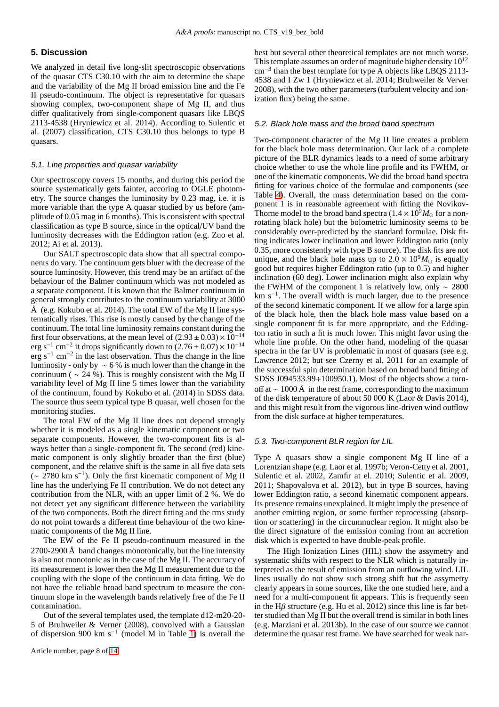# **5. Discussion**

We analyzed in detail five long-slit spectroscopic observations of the quasar CTS C30.10 with the aim to determine the shape and the variability of the Mg II broad emission line and the Fe II pseudo-continuum. The object is representative for quasars showing complex, two-component shape of Mg II, and thus differ qualitatively from single-component quasars like LBQS 2113-4538 (Hryniewicz et al. 2014). According to Sulentic et al. (2007) classification, CTS C30.10 thus belongs to type B quasars.

## 5.1. Line properties and quasar variability

Our spectroscopy covers 15 months, and during this period the source systematically gets fainter, accoring to OGLE photometry. The source changes the luminosity by 0.23 mag, i.e. it is more variable than the type A quasar studied by us before (amplitude of 0.05 mag in 6 months). This is consistent with spectral classification as type B source, since in the optical/UV band the luminosity decreases with the Eddington ration (e.g. Zuo et al. 2012; Ai et al. 2013).

Our SALT spectroscopic data show that all spectral components do vary. The continuum gets bluer with the decrease of the source luminosity. However, this trend may be an artifact of the behaviour of the Balmer continuum which was not modeled as a separate component. It is known that the Balmer continuum in general strongly contributes to the continuum variability at 3000 Å (e.g. Kokubo et al. 2014). The total EW of the Mg II line systematically rises. This rise is mostly caused by the change of the continuum. The total line luminosity remains constant during the first four observations, at the mean level of  $(2.93 \pm 0.03) \times 10^{-14}$ erg s<sup>-1</sup> cm<sup>-2</sup> it drops significantly down to  $(2.76 \pm 0.07) \times 10^{-14}$ erg s<sup>-1</sup> cm<sup>-2</sup> in the last observation. Thus the change in the line luminosity - only by  $\sim$  6 % is much lower than the change in the continuum (  $\sim$  24 %). This is roughly consistent with the Mg II variability level of Mg II line 5 times lower than the variability of the continuum, found by Kokubo et al. (2014) in SDSS data. The source thus seem typical type B quasar, well chosen for the monitoring studies.

The total EW of the Mg II line does not depend strongly whether it is modeled as a single kinematic component or two separate components. However, the two-component fits is always better than a single-component fit. The second (red) kinematic component is only slightly broader than the first (blue) component, and the relative shift is the same in all five data sets  $\sim$  2780 km s<sup>-1</sup>). Only the first kinematic component of Mg II line has the underlying Fe II contribution. We do not detect any contribution from the NLR, with an upper limit of 2 %. We do not detect yet any significant difference between the variability of the two components. Both the direct fitting and the rms study do not point towards a different time behaviour of the two kinematic components of the Mg II line.

The EW of the Fe II pseudo-continuum measured in the  $2700-2900 \text{ Å}$  band changes monotonically, but the line intensity is also not monotonic as in the case of the Mg II. The accuracy of its measurement is lower then the Mg II measurement due to the coupling with the slope of the continuum in data fitting. We do not have the reliable broad band spectrum to measure the continuum slope in the wavelength bands relatively free of the Fe II contamination.

Out of the several templates used, the template d12-m20-20- 5 of Bruhweiler & Verner (2008), convolved with a Gaussian of dispersion 900 km s<sup>-1</sup> (model M in Table [1\)](#page-12-0) is overall the

best but several other theoretical templates are not much worse. This template assumes an order of magnitude higher density  $10^{12}$ cm<sup>−</sup><sup>3</sup> than the best template for type A objects like LBQS 2113- 4538 and I Zw 1 (Hryniewicz et al. 2014; Bruhweiler & Verver 2008), with the two other parameters (turbulent velocity and ionization flux) being the same.

## 5.2. Black hole mass and the broad band spectrum

Two-component character of the Mg II line creates a problem for the black hole mass determination. Our lack of a complete picture of the BLR dynamics leads to a need of some arbitrary choice whether to use the whole line profile and its FWHM, or one of the kinematic components. We did the broad band spectra fitting for various choice of the formulae and components (see Table [4\)](#page-6-0). Overall, the mass determination based on the component 1 is in reasonable agreement with fitting the Novikov-Thorne model to the broad band spectra ( $1.4 \times 10^9 M_{\odot}$  for a nonrotating black hole) but the bolometric luminosity seems to be considerably over-predicted by the standard formulae. Disk fitting indicates lower inclination and lower Eddington ratio (only 0.35, more consistently with type B source). The disk fits are not unique, and the black hole mass up to  $2.0 \times 10^9 M_{\odot}$  is equally good but requires higher Eddington ratio (up to 0.5) and higher inclination (60 deg). Lower inclination might also explain why the FWHM of the component 1 is relatively low, only  $\sim 2800$ km s−<sup>1</sup> . The overall width is much larger, due to the presence of the second kinematic component. If we allow for a large spin of the black hole, then the black hole mass value based on a single component fit is far more appropriate, and the Eddington ratio in such a fit is much lower. This might favor using the whole line profile. On the other hand, modeling of the quasar spectra in the far UV is problematic in most of quasars (see e.g. Lawrence 2012; but see Czerny et al. 2011 for an example of the successful spin determination based on broad band fitting of SDSS J094533.99+100950.1). Most of the objects show a turnoff at  $\sim 1000 \text{ Å}$  in the rest frame, corresponding to the maximum of the disk temperature of about 50 000 K (Laor & Davis 2014), and this might result from the vigorous line-driven wind outflow from the disk surface at higher temperatures.

#### 5.3. Two-component BLR region for LIL

Type A quasars show a single component Mg II line of a Lorentzian shape (e.g. Laor et al. 1997b; Veron-Cetty et al. 2001, Sulentic et al. 2002, Zamfir at el. 2010; Sulentic et al. 2009, 2011; Shapovalova et al. 2012), but in type B sources, having lower Eddington ratio, a second kinematic component appears. Its presence remains unexplained. It might imply the presence of another emitting region, or some further reprocessing (absorption or scattering) in the circumnuclear region. It might also be the direct signature of the emission coming from an accretion disk which is expected to have double-peak profile.

The High Ionization Lines (HIL) show the assymetry and systematic shifts with respect to the NLR which is naturally interpreted as the result of emission from an outflowing wind. LIL lines usually do not show such strong shift but the assymetry clearly appears in some sources, like the one studied here, and a need for a multi-component fit appears. This is frequently seen in the H $\beta$  structure (e.g. Hu et al. 2012) since this line is far better studied than Mg II but the overall trend is similar in both lines (e.g. Marziani et al. 2013b). In the case of our source we cannot determine the quasar rest frame. We have searched for weak nar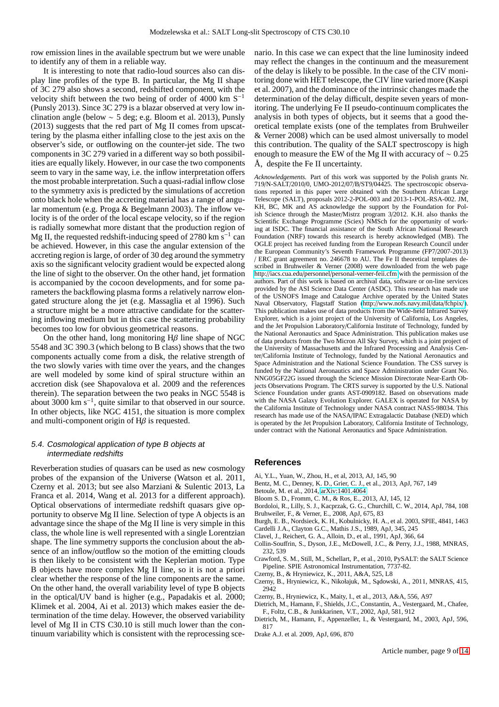row emission lines in the available spectrum but we were unable to identify any of them in a reliable way.

It is interesting to note that radio-loud sources also can display line profiles of the type B. In particular, the Mg II shape of 3C 279 also shows a second, redshifted component, with the velocity shift between the two being of order of 4000 km S<sup>−</sup><sup>1</sup> (Punsly 2013). Since 3C 279 is a blazar observed at very low inclination angle (below  $\sim$  5 deg; e.g. Bloom et al. 2013), Punsly (2013) suggests that the red part of Mg II comes from upscattering by the plasma either infalling close to the jest axis on the observer's side, or outflowing on the counter-jet side. The two components in 3C 279 varied in a different way so both possibilities are equally likely. However, in our case the two components seem to vary in the same way, i.e. the inflow interpretation offers the most probable interpretation. Such a quasi-radial inflow close to the symmetry axis is predicted by the simulations of accretion onto black hole when the accreting material has a range of angular momentum (e.g. Proga & Begelmann 2003). The inflow velocity is of the order of the local escape velocity, so if the region is radially somewhat more distant that the production region of Mg II, the requested redshift-inducing speed of 2780 km  $\rm s^{-1}$  can be achieved. However, in this case the angular extension of the accreting region is large, of order of 30 deg around the symmetry axis so the significant velocity gradient would be expected along the line of sight to the observer. On the other hand, jet formation is accompanied by the cocoon developments, and for some parameters the backflowing plasma forms a relatively narrow elongated structure along the jet (e.g. Massaglia et al 1996). Such a structure might be a more attractive candidate for the scattering inflowing medium but in this case the scattering probability becomes too low for obvious geometrical reasons.

On the other hand, long monitoring  $H\beta$  line shape of NGC 5548 and 3C 390.3 (which belong to B class) shows that the two components actually come from a disk, the relative strength of the two slowly varies with time over the years, and the changes are well modeled by some kind of spiral structure within an accretion disk (see Shapovalova et al. 2009 and the references therein). The separation between the two peaks in NGC 5548 is about 3000 km  $s^{-1}$ , quite similar to that observed in our source. In other objects, like NGC 4151, the situation is more complex and multi-component origin of  $H\beta$  is requested.

# 5.4. Cosmological application of type <sup>B</sup> objects at intermediate redshifts

Reverberation studies of quasars can be used as new cosmology probes of the expansion of the Universe (Watson et al. 2011, Czerny et al. 2013; but see also Marziani & Sulentic 2013, La Franca et al. 2014, Wang et al. 2013 for a different approach). Optical observations of intermediate redshift quasars give opportunity to observe Mg II line. Selection of type A objects is an advantage since the shape of the Mg II line is very simple in this class, the whole line is well represented with a single Lorentzian shape. The line symmetry supports the conclusion about the absence of an inflow/outflow so the motion of the emitting clouds is then likely to be consistent with the Keplerian motion. Type B objects have more complex Mg II line, so it is not a priori clear whether the response of the line components are the same. On the other hand, the overall variability level of type B objects in the optical/UV band is higher (e.g., Papadakis et al. 2000; Klimek et al. 2004, Ai et al. 2013) which makes easier the determination of the time delay. However, the observed variability level of Mg II in CTS C30.10 is still much lower than the continuum variability which is consistent with the reprocessing scenario. In this case we can expect that the line luminosity indeed may reflect the changes in the continuum and the measurement of the delay is likely to be possible. In the case of the CIV monitoring done with HET telescope, the CIV line varied more (Kaspi et al. 2007), and the dominance of the intrinsic changes made the determination of the delay difficult, despite seven years of monitoring. The underlying Fe II pseudo-continuum complicates the analysis in both types of objects, but it seems that a good theoretical template exists (one of the templates from Bruhweiler & Verner 2008) which can be used almost universally to model this contribution. The quality of the SALT spectroscopy is high enough to measure the EW of the Mg II with accuracy of  $\sim 0.25$ Å, despite the Fe II uncertainty.

*Acknowledgements.* Part of this work was supported by the Polish grants Nr. 719/N-SALT/2010/0, UMO-2012/07/B/ST9/04425. The spectroscopic observations reported in this paper were obtained with the Southern African Large Telescope (SALT), proposals 2012-2-POL-003 and 2013-1-POL-RSA-002. JM, KH, BC, MK and AS acknowledge the support by the Foundation for Polish Science through the Master/Mistrz program 3/2012. K.H. also thanks the Scientific Exchange Programme (Sciex) NMSch for the opportunity of working at ISDC. The financial assistance of the South African National Research Foundation (NRF) towards this research is hereby acknowledged (MB). The OGLE project has received funding from the European Research Council under the European Community's Seventh Framework Programme (FP7/2007-2013) / ERC grant agreement no. 246678 to AU. The Fe II theoretical templates described in Bruhweiler & Verner (2008) were downloaded from the web page http://iacs.cua.edu/personnel/[personal-verner-feii.cfm](http://iacs.cua.edu/personnel/personal-verner-feii.cfm) with the permission of the authors. Part of this work is based on archival data, software or on-line services provided by the ASI Science Data Center (ASDC). This research has made use of the USNOFS Image and Catalogue Archive operated by the United States Naval Observatory, Flagstaff Station (http://[www.nofs.navy.mil](http://www.nofs.navy.mil/data/fchpix/)/data/fchpix/). This publication makes use of data products from the Wide-field Infrared Survey Explorer, which is a joint project of the University of California, Los Angeles, and the Jet Propulsion Laboratory/California Institute of Technology, funded by the National Aeronautics and Space Administration. This publication makes use of data products from the Two Micron All Sky Survey, which is a joint project of the University of Massachusetts and the Infrared Processing and Analysis Center/California Institute of Technology, funded by the National Aeronautics and Space Administration and the National Science Foundation. The CSS survey is funded by the National Aeronautics and Space Administration under Grant No. NNG05GF22G issued through the Science Mission Directorate Near-Earth Objects Observations Program. The CRTS survey is supported by the U.S. National Science Foundation under grants AST-0909182. Based on observations made with the NASA Galaxy Evolution Explorer. GALEX is operated for NASA by the California Institute of Technology under NASA contract NAS5-98034. This research has made use of the NASA/IPAC Extragalactic Database (NED) which is operated by the Jet Propulsion Laboratory, California Institute of Technology, under contract with the National Aeronautics and Space Administration.

## **References**

- Ai, Y.L., Yuan, W., Zhou, H., et al, 2013, AJ, 145, 90
- Bentz, M. C., Denney, K. D., Grier, C. J., et al., 2013, ApJ, 767, 149
- Betoule, M. et al., 2014, [arXiv:1401.4064](http://arxiv.org/abs/1401.4064)
- Bloom S. D., Fromm, C. M., & Ros, E., 2013, AJ, 145, 12
- Bordoloi, R., Lilly, S. J., Kacprzak, G. G., Churchill, C. W., 2014, ApJ, 784, 108
- Bruhweiler, F., & Verner, E., 2008, ApJ, 675, 83
- Burgh, E. B., Nordsieck, K. H., Kobulnicky, H. A., et al. 2003, SPIE, 4841, 1463 Cardelli J.A., Clayton G.C., Mathis J.S., 1989, ApJ, 345, 245
- 
- Clavel, J., Reichert, G. A., Alloin, D., et al., 1991, ApJ, 366, 64
- Collin-Souffrin, S., Dyson, J.E., McDowell, J.C., & Perry, J.J., 1988, MNRAS, 232, 539
- Crawford, S. M., Still, M., Schellart, P., et al., 2010, PySALT: the SALT Science Pipeline. SPIE Astronomical Instrumentation, 7737-82.
- Czerny, B., & Hryniewicz, K., 2011, A&A, 525, L8
- Czerny, B., Hryniewicz, K., Nikołajuk, M., Sądowski, A., 2011, MNRAS, 415, 2942
- Czerny, B., Hryniewicz, K., Maity, I., et al., 2013, A&A, 556, A97
- Dietrich, M., Hamann, F., Shields, J.C., Constantin, A., Vestergaard, M., Chafee, F., Foltz, C.B., & Junkkarinen, V.T., 2002, ApJ, 581, 912
- Dietrich, M., Hamann, F., Appenzeller, I., & Vestergaard, M., 2003, ApJ, 596, 817
- Drake A.J. et al. 2009, ApJ, 696, 870

Article number, page 9 of [14](#page-13-0)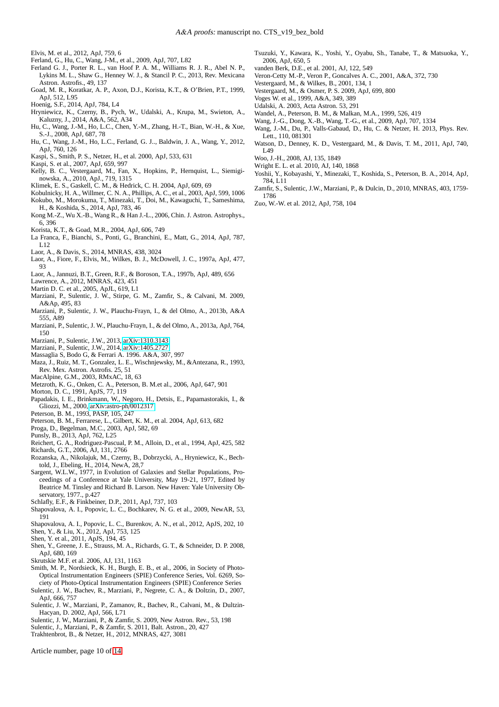Elvis, M. et al., 2012, ApJ, 759, 6

- Ferland, G., Hu, C., Wang, J-M., et al., 2009, ApJ, 707, L82
- Ferland G. J., Porter R. L., van Hoof P. A. M., Williams R. J. R., Abel N. P., Lykins M. L., Shaw G., Henney W. J., & Stancil P. C., 2013, Rev. Mexicana Astron. Astrofis., 49, 137
- Goad, M. R., Koratkar, A. P., Axon, D.J., Korista, K.T., & O'Brien, P.T., 1999, ApJ, 512, L95
- Hoenig, S.F., 2014, ApJ, 784, L4
- Hryniewicz, K., Czerny, B., Pych, W., Udalski, A., Krupa, M., Swieton, A., Kaluzny, J., 2014, A&A, 562, A34
- Hu, C., Wang, J.-M., Ho, L.C., Chen, Y.-M., Zhang, H.-T., Bian, W.-H., & Xue, S.-J., 2008, ApJ, 687, 78
- Hu, C., Wang, J.-M., Ho, L.C., Ferland, G. J.., Baldwin, J. A., Wang, Y., 2012, ApJ, 760, 126
- Kaspi, S., Smith, P. S., Netzer, H., et al. 2000, ApJ, 533, 631
- Kaspi, S. et al., 2007, ApJ, 659, 997
- Kelly, B. C., Vestergaard, M., Fan, X., Hopkins, P., Hernquist, L., Siemiginowska, A., 2010, ApJ., 719, 1315
- Klimek, E. S., Gaskell, C. M., & Hedrick, C. H. 2004, ApJ, 609, 69
- Kobulnicky, H. A., Willmer, C. N. A., Phillips, A. C., et al., 2003, ApJ, 599, 1006
- Kokubo, M., Morokuma, T., Minezaki, T., Doi, M., Kawaguchi, T., Sameshima, H., & Koshida, S., 2014, ApJ, 783, 46
- Kong M.-Z., Wu X.-B., Wang R., & Han J.-L., 2006, Chin. J. Astron. Astrophys., 6, 396
- Korista, K.T., & Goad, M.R., 2004, ApJ, 606, 749
- La Franca, F., Bianchi, S., Ponti, G., Branchini, E., Matt, G., 2014, ApJ, 787, L12
- Laor, A., & Davis, S., 2014, MNRAS, 438, 3024
- Laor, A., Fiore, F., Elvis, M., Wilkes, B. J., McDowell, J. C., 1997a, ApJ, 477, 93
- Laor, A., Jannuzi, B.T., Green, R.F., & Boroson, T.A., 1997b, ApJ, 489, 656
- Lawrence, A., 2012, MNRAS, 423, 451
- Martin D. C. et al., 2005, ApJL, 619, L1
- Marziani, P., Sulentic, J. W., Stirpe, G. M., Zamfir, S., & Calvani, M. 2009, A&Ap, 495, 83
- Marziani, P., Sulentic, J. W., Plauchu-Frayn, I., & del Olmo, A., 2013b, A&A 555, A89
- Marziani, P., Sulentic, J. W., Plauchu-Frayn, I., & del Olmo, A., 2013a, ApJ, 764, 150
- Marziani, P., Sulentic, J.W., 2013, [arXiv:1310.3143](http://arxiv.org/abs/1310.3143)
- Marziani, P., Sulentic, J.W., 2014, [arXiv:1405.2727](http://arxiv.org/abs/1405.2727)
- Massaglia S, Bodo G, & Ferrari A. 1996. A&A, 307, 997
- Maza, J., Ruiz, M. T., Gonzalez, L. E., Wischnjewsky, M., &Antezana, R., 1993, Rev. Mex. Astron. Astrofis. 25, 51
- MacAlpine, G.M., 2003, RMxAC, 18, 63
- Metzroth, K. G., Onken, C. A., Peterson, B. M.et al., 2006, ApJ, 647, 901
- Morton, D. C., 1991, ApJS, 77, 119
- Papadakis, I. E., Brinkmann, W., Negoro, H., Detsis, E., Papamastorakis, I., & Gliozzi, M., 2000, [arXiv:astro-ph](http://arxiv.org/abs/astro-ph/0012317)/0012317
- Peterson, B. M., 1993, PASP, 105, 247
- Peterson, B. M., Ferrarese, L., Gilbert, K. M., et al. 2004, ApJ, 613, 682
- Proga, D., Begelman, M.C., 2003, ApJ, 582, 69
- Punsly, B., 2013, ApJ, 762, L25
- Reichert, G. A., Rodriguez-Pascual, P. M., Alloin, D., et al., 1994, ApJ, 425, 582 Richards, G.T., 2006, AJ, 131, 2766
- Rozanska, A., Nikolajuk, M., Czerny, B., Dobrzycki, A., Hryniewicz, K., Bechtold, J., Ebeling, H., 2014, NewA, 28,7
- Sargent, W.L.W., 1977, in Evolution of Galaxies and Stellar Populations, Proceedings of a Conference at Yale University, May 19-21, 1977, Edited by Beatrice M. Tinsley and Richard B. Larson. New Haven: Yale University Observatory, 1977., p.427
- Schlafly, E.F., & Finkbeiner, D.P., 2011, ApJ, 737, 103
- Shapovalova, A. I., Popovic, L. C., Bochkarev, N. G. et al., 2009, NewAR, 53, 191
- Shapovalova, A. I., Popovic, L. C., Burenkov, A. N., et al., 2012, ApJS, 202, 10 Shen, Y., & Liu, X., 2012, ApJ, 753, 125
- Shen, Y. et al., 2011, ApJS, 194, 45
- Shen, Y., Greene, J. E., Strauss, M. A., Richards, G. T., & Schneider, D. P. 2008, ApJ, 680, 169
- Skrutskie M.F. et al. 2006, AJ, 131, 1163
- Smith, M. P., Nordsieck, K. H., Burgh, E. B., et al., 2006, in Society of Photo-Optical Instrumentation Engineers (SPIE) Conference Series, Vol. 6269, Society of Photo-Optical Instrumentation Engineers (SPIE) Conference Series
- Sulentic, J. W., Bachev, R., Marziani, P., Negrete, C. A., & Doltzin, D., 2007, ApJ, 666, 757
- Sulentic, J. W., Marziani, P., Zamanov, R., Bachev, R., Calvani, M., & Dultzin-Hacyan, D. 2002, ApJ, 566, L71
- Sulentic, J. W., Marziani, P., & Zamfir, S. 2009, New Astron. Rev., 53, 198
- Sulentic, J., Marziani, P., & Zamfir, S. 2011, Balt. Astron., 20, 427
- Trakhtenbrot, B., & Netzer, H., 2012, MNRAS, 427, 3081

Article number, page 10 of [14](#page-13-0)

- Tsuzuki, Y., Kawara, K., Yoshi, Y., Oyabu, Sh., Tanabe, T., & Matsuoka, Y., 2006, ApJ, 650, 5
- vanden Berk, D.E., et al. 2001, AJ, 122, 549
- Veron-Cetty M.-P., Veron P., Goncalves A. C., 2001, A&A, 372, 730
- Vestergaard, M., & Wilkes, B., 2001, 134, 1
- Vestergaard, M., & Osmer, P. S. 2009, ApJ, 699, 800
- Voges W. et al., 1999, A&A, 349, 389 Udalski, A. 2003, Acta Astron. 53, 291
- Wandel, A., Peterson, B. M., & Malkan, M.A., 1999, 526, 419
- Wang, J.-G., Dong, X.-B., Wang, T.-G., et al., 2009, ApJ, 707, 1334
- Wang, J.-M., Du, P., Valls-Gabaud, D., Hu, C. & Netzer, H. 2013, Phys. Rev.
- Lett., 110, 081301 Watson, D., Denney, K. D., Vestergaard, M., & Davis, T. M., 2011, ApJ, 740,
- L49 Woo, J.-H., 2008, AJ, 135, 1849
- 
- Wright E. L. et al. 2010, AJ, 140, 1868 Yoshii, Y., Kobayashi, Y., Minezaki, T., Koshida, S., Peterson, B. A., 2014, ApJ, 784, L11
- Zamfir, S., Sulentic, J.W., Marziani, P., & Dulcin, D., 2010, MNRAS, 403, 1759- 1786
- Zuo, W.-W. et al. 2012, ApJ, 758, 104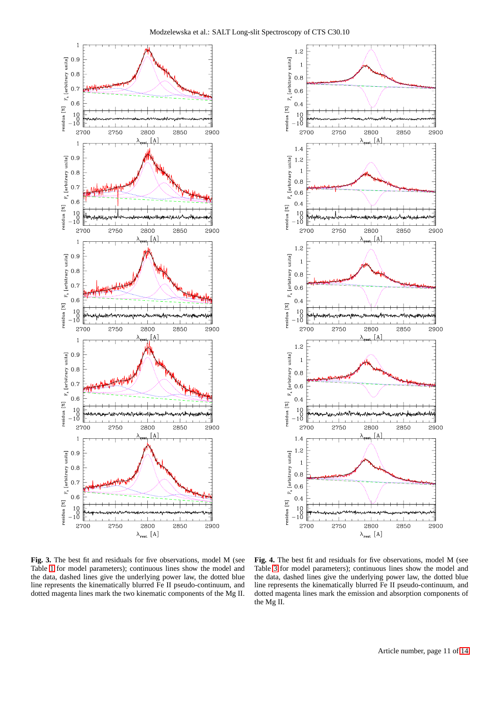



<span id="page-10-0"></span>**Fig. 3.** The best fit and residuals for five observations, model M (see Table [1](#page-12-0) for model parameters); continuous lines show the model and the data, dashed lines give the underlying power law, the dotted blue line represents the kinematically blurred Fe II pseudo-continuum, and dotted magenta lines mark the two kinematic components of the Mg II.

<span id="page-10-1"></span>**Fig. 4.** The best fit and residuals for five observations, model M (see Table [3](#page-5-0) for model parameters); continuous lines show the model and the data, dashed lines give the underlying power law, the dotted blue line represents the kinematically blurred Fe II pseudo-continuum, and dotted magenta lines mark the emission and absorption components of the Mg II.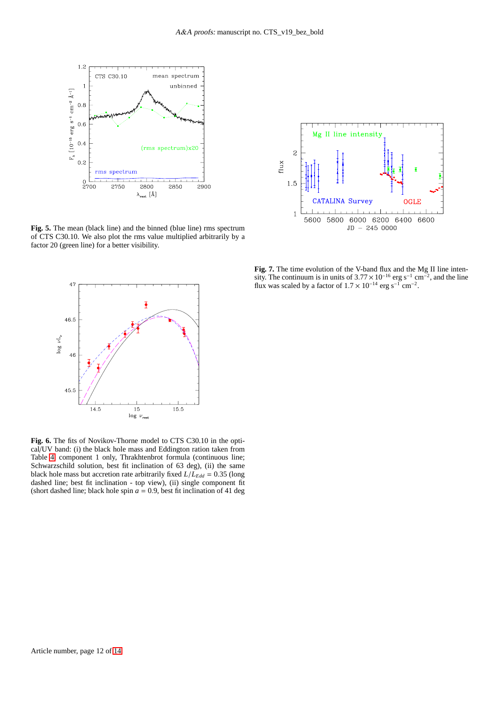

<span id="page-11-0"></span>**Fig. 5.** The mean (black line) and the binned (blue line) rms spectrum of CTS C30.10. We also plot the rms value multiplied arbitrarily by a factor 20 (green line) for a better visibility.



**Fig. 7.** The time evolution of the V-band flux and the Mg II line intensity. The continuum is in units of  $3.77 \times 10^{-16}$  erg s<sup>-1</sup> cm<sup>-2</sup>, and the line flux was scaled by a factor of  $1.7 \times 10^{-14}$  erg s<sup>-1</sup> cm<sup>-2</sup>.



<span id="page-11-1"></span>**Fig. 6.** The fits of Novikov-Thorne model to CTS C30.10 in the optical/UV band: (i) the black hole mass and Eddington ration taken from Table [4,](#page-6-0) component 1 only, Thrakhtenbrot formula (continuous line; Schwarzschild solution, best fit inclination of 63 deg), (ii) the same black hole mass but accretion rate arbitrarily fixed  $L/L_{Edd} = 0.35$  (long dashed line; best fit inclination - top view), (ii) single component fit (short dashed line; black hole spin  $a = 0.9$ , best fit inclination of 41 deg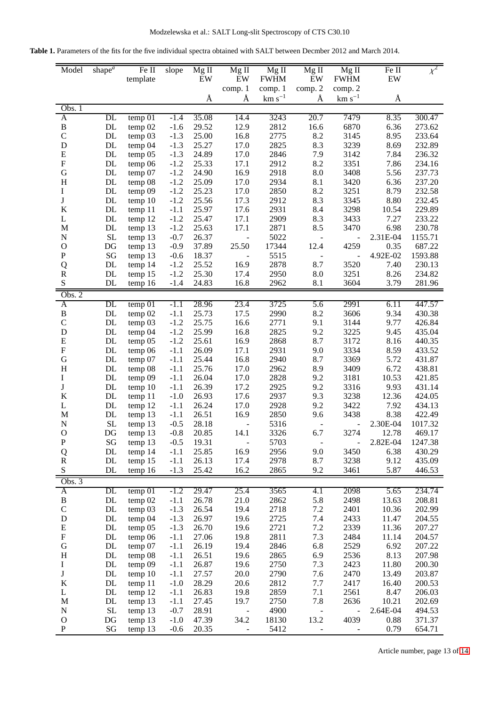<span id="page-12-0"></span>

| <b>Table 1.</b> Parameters of the fits for the five individual spectra obtained with SALT between Decmber 2012 and March 2014. |  |  |
|--------------------------------------------------------------------------------------------------------------------------------|--|--|
|--------------------------------------------------------------------------------------------------------------------------------|--|--|

| Model                                  | shape $\overline{a}$ | Fe II<br>template   | slope            | Mg II<br>EW    | $Mg$ II<br>EW            | $Mg$ II<br><b>FWHM</b> | $Mg$ II<br>EW            | $Mg$ II<br><b>FWHM</b>   | Fe II<br>EW    | $\chi^2$         |
|----------------------------------------|----------------------|---------------------|------------------|----------------|--------------------------|------------------------|--------------------------|--------------------------|----------------|------------------|
|                                        |                      |                     |                  |                | comp. 1                  | comp. 1                | comp. 2                  | comp. 2                  |                |                  |
|                                        |                      |                     |                  | Å              | Å                        | $km s^{-1}$            | Å                        | $km s^{-1}$              | Å              |                  |
| Obs. 1                                 |                      |                     |                  |                |                          |                        |                          |                          |                |                  |
| A                                      | DL                   | temp 01             | $-1.4$           | 35.08          | 14.4                     | 3243                   | 20.7                     | 7479                     | 8.35           | 300.47           |
| B                                      | $\mathbf{DL}$        | temp 02             | $-1.6$           | 29.52          | 12.9                     | 2812                   | 16.6                     | 6870                     | 6.36           | 273.62           |
| $\mathbf C$                            | $\mathbf{DL}$        | temp 03             | $-1.3$           | 25.00          | 16.8                     | 2775                   | 8.2                      | 3145                     | 8.95           | 233.64           |
| D                                      | $\mathbf{DL}$        | temp 04             | $-1.3$           | 25.27          | 17.0                     | 2825                   | 8.3                      | 3239                     | 8.69           | 232.89           |
| ${\bf E}$                              | DL                   | temp 05             | $-1.3$           | 24.89          | 17.0                     | 2846                   | 7.9                      | 3142                     | 7.84           | 236.32           |
| $\boldsymbol{\mathrm{F}}$              | DL                   | temp 06             | $-1.2$           | 25.33          | 17.1                     | 2912                   | 8.2                      | 3351                     | 7.86           | 234.16           |
| $\mathbf G$<br>H                       | DL<br>DL             | temp 07<br>temp 08  | $-1.2$<br>$-1.2$ | 24.90<br>25.09 | 16.9<br>17.0             | 2918<br>2934           | 8.0<br>8.1               | 3408<br>3420             | 5.56<br>6.36   | 237.73<br>237.20 |
| I                                      | $\mathbf{DL}$        | temp 09             | $-1.2$           | 25.23          | 17.0                     | 2850                   | 8.2                      | 3251                     | 8.79           | 232.58           |
| $\mathbf J$                            | DL                   | temp 10             | $-1.2$           | 25.56          | 17.3                     | 2912                   | 8.3                      | 3345                     | 8.80           | 232.45           |
| $\bf K$                                | DL                   | temp 11             | $-1.1$           | 25.97          | 17.6                     | 2931                   | 8.4                      | 3298                     | 10.54          | 229.89           |
| L                                      | DL                   | temp 12             | $-1.2$           | 25.47          | 17.1                     | 2909                   | 8.3                      | 3433                     | 7.27           | 233.22           |
| M                                      | DL                   | temp 13             | $-1.2$           | 25.63          | 17.1                     | 2871                   | 8.5                      | 3470                     | 6.98           | 230.78           |
| ${\bf N}$                              | $\rm SL$             | temp 13             | $-0.7$           | 26.37          | $\overline{\phantom{0}}$ | 5022                   | $\overline{\phantom{0}}$ | $\blacksquare$           | 2.31E-04       | 1155.71          |
| $\mathbf O$                            | DG                   | temp 13             | $-0.9$           | 37.89          | 25.50                    | 17344                  | 12.4                     | 4259                     | 0.35           | 687.22           |
| ${\bf P}$                              | SG                   | temp 13             | $-0.6$           | 18.37          | ÷,                       | 5515                   | $\overline{a}$           | $\blacksquare$           | 4.92E-02       | 1593.88          |
| Q                                      | DL                   | temp 14             | $-1.2$           | 25.52          | 16.9                     | 2878                   | 8.7                      | 3520                     | 7.40           | 230.13           |
| ${\bf R}$                              | DL                   | temp 15             | $-1.2$           | 25.30          | 17.4                     | 2950                   | 8.0                      | 3251                     | 8.26           | 234.82           |
| ${\bf S}$                              | <b>DL</b>            | temp 16             | $-1.4$           | 24.83          | 16.8                     | 2962                   | 8.1                      | 3604                     | 3.79           | 281.96           |
| Obs. $2$                               |                      |                     |                  |                |                          |                        |                          |                          |                |                  |
| A                                      | $\overline{DL}$      | temp 01             | $-1.1$           | 28.96          | 23.4                     | 3725                   | 5.6                      | 2991                     | 6.11           | 447.57           |
| B                                      | DL                   | temp 02             | $-1.1$           | 25.73          | 17.5                     | 2990                   | 8.2                      | 3606                     | 9.34           | 430.38           |
| $\mathbf C$                            | $\mathbf{DL}$        | temp 03             | $-1.2$           | 25.75          | 16.6                     | 2771                   | 9.1                      | 3144                     | 9.77           | 426.84           |
| $\mathbf D$                            | $\mathbf{DL}$        | temp 04             | $-1.2$           | 25.99          | 16.8                     | 2825                   | 9.2                      | 3225                     | 9.45           | 435.04           |
| ${\bf E}$<br>$\boldsymbol{\mathrm{F}}$ | DL<br>DL             | temp <sub>05</sub>  | $-1.2$<br>$-1.1$ | 25.61<br>26.09 | 16.9<br>17.1             | 2868<br>2931           | 8.7<br>9.0               | 3172<br>3334             | 8.16<br>8.59   | 440.35<br>433.52 |
| $\mathbf G$                            | DL                   | temp 06<br>temp 07  | $-1.1$           | 25.44          | 16.8                     | 2940                   | 8.7                      | 3369                     | 5.72           | 431.87           |
| $H_{\rm}$                              | DL                   | temp 08             | $-1.1$           | 25.76          | 17.0                     | 2962                   | 8.9                      | 3409                     | 6.72           | 438.81           |
| I                                      | $\mathbf{DL}$        | temp 09             | $-1.1$           | 26.04          | 17.0                     | 2828                   | 9.2                      | 3181                     | 10.53          | 421.85           |
| $\mathbf J$                            | DL                   | temp 10             | $-1.1$           | 26.39          | 17.2                     | 2925                   | 9.2                      | 3316                     | 9.93           | 431.14           |
| $\bf K$                                | DL                   | temp 11             | $-1.0$           | 26.93          | 17.6                     | 2937                   | 9.3                      | 3238                     | 12.36          | 424.05           |
| L                                      | DL                   | temp <sub>12</sub>  | $-1.1$           | 26.24          | 17.0                     | 2928                   | 9.2                      | 3422                     | 7.92           | 434.13           |
| M                                      | DL                   | temp 13             | $-1.1$           | 26.51          | 16.9                     | 2850                   | 9.6                      | 3438                     | 8.38           | 422.49           |
| $\mathbf N$                            | <b>SL</b>            | temp 13             | $-0.5$           | 28.18          |                          | 5316                   | $\blacksquare$           | $\overline{\phantom{0}}$ | 2.30E-04       | 1017.32          |
| $\mathbf O$                            | DG                   | temp 13             | $-0.8$           | 20.85          | 14.1                     | 3326                   | 6.7                      | 3274                     | 12.78          | 469.17           |
| ${\bf P}$                              | SG                   | temp 13             | $-0.5$           | 19.31          | $\blacksquare$           | 5703                   | $\blacksquare$           | $\blacksquare$           | 2.82E-04       | 1247.38          |
| Q                                      | DL                   | temp 14             | $-1.1$           | 25.85          | 16.9                     | 2956                   | 9.0                      | 3450                     | 6.38           | 430.29           |
| ${\bf R}$                              | DL                   | temp 15             | $-1.1$           | 26.13          | 17.4                     | 2978                   | 8.7                      | 3238                     | 9.12           | 435.09           |
| ${\bf S}$                              | DL                   | temp 16             | $-1.3$           | 25.42          | 16.2                     | 2865                   | 9.2                      | 3461                     | 5.87           | 446.53           |
| Obs. 3                                 |                      |                     |                  |                |                          |                        |                          |                          |                |                  |
| $\overline{A}$                         | $\overline{DL}$      | $temp\overline{01}$ | $-1.2$           | 29.47<br>26.78 | 25.4                     | 3565                   | 4.1                      | 2098<br>2498             | 5.65           | 234.74           |
| $\, {\bf B}$<br>$\mathbf C$            | DL<br>$\mathbf{DL}$  | temp 02<br>temp 03  | $-1.1$<br>$-1.3$ | 26.54          | 21.0<br>19.4             | 2862<br>2718           | 5.8<br>$7.2\,$           | 2401                     | 13.63<br>10.36 | 208.81<br>202.99 |
| $\mathbf D$                            | DL                   | temp 04             | $-1.3$           | 26.97          | 19.6                     | 2725                   | 7.4                      | 2433                     | 11.47          | 204.55           |
| ${\bf E}$                              | DL                   | temp 05             | $-1.3$           | 26.70          | 19.6                     | 2721                   | 7.2                      | 2339                     | 11.36          | 207.27           |
| $\boldsymbol{\mathrm{F}}$              | DL                   | temp 06             | $-1.1$           | 27.06          | 19.8                     | 2811                   | 7.3                      | 2484                     | 11.14          | 204.57           |
| ${\bf G}$                              | DL                   | temp 07             | $-1.1$           | 26.19          | 19.4                     | 2846                   | 6.8                      | 2529                     | 6.92           | 207.22           |
| $H_{\rm}$                              | DL                   | temp 08             | $-1.1$           | 26.51          | 19.6                     | 2865                   | 6.9                      | 2536                     | 8.13           | 207.98           |
| I                                      | $\mathbf{DL}$        | temp 09             | $-1.1$           | 26.87          | 19.6                     | 2750                   | 7.3                      | 2423                     | 11.80          | 200.30           |
| $\bf J$                                | DL                   | temp 10             | $-1.1$           | 27.57          | 20.0                     | 2790                   | 7.6                      | 2470                     | 13.49          | 203.87           |
| $\bf K$                                | DL                   | temp 11             | $-1.0$           | 28.29          | 20.6                     | 2812                   | 7.7                      | 2417                     | 16.40          | 200.53           |
| L                                      | DL                   | temp 12             | $-1.1$           | 26.83          | 19.8                     | 2859                   | 7.1                      | 2561                     | 8.47           | 206.03           |
| M                                      | DL                   | temp 13             | $-1.1$           | 27.45          | 19.7                     | 2750                   | 7.8                      | 2636                     | 10.21          | 202.69           |
| ${\bf N}$                              | $\operatorname{SL}$  | temp 13             | $-0.7$           | 28.91          | $\overline{\phantom{0}}$ | 4900                   | $\blacksquare$           | $\blacksquare$           | 2.64E-04       | 494.53           |
| $\mathbf O$                            | DG                   | temp 13             | $-1.0$           | 47.39          | 34.2                     | 18130                  | 13.2                     | 4039                     | 0.88           | 371.37           |
| ${\bf P}$                              | SG                   | temp 13             | $-0.6$           | 20.35          | $\frac{1}{2}$            | 5412                   |                          |                          | 0.79           | 654.71           |

Article number, page 13 of [14](#page-13-0)